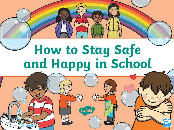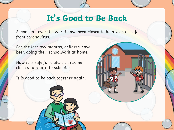## **It's Good to Be Back**

Schools all over the world have been closed to help keep us safe from coronavirus.

For the last few months, children have been doing their schoolwork at home.

Now it is safe for children in some classes to return to school.

It is good to be back together again.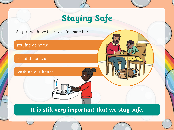# **Staying Safe**

So far, we have been keeping safe by: staying at home social distancing washing our hands

**It is still very important that we stay safe.**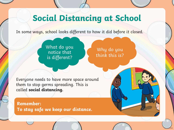### **Social Distancing at School**

In some ways, school looks different to how it did before it closed.

What do you notice that is different?

Why do you think this is?

Everyone needs to have more space around them to stop germs spreading. This is called **social distancing.**

**Remember: To stay safe we keep our distance.**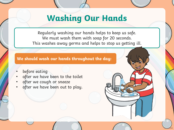#### **Washing Our Hands**

Regularly washing our hands helps to keep us safe. We must wash them with soap for 20 seconds. This washes away germs and helps to stop us getting ill.

#### **We should wash our hands throughout the day:**

- before eating
- after we have been to the toilet
- after we cough or sneeze
- after we have been out to play.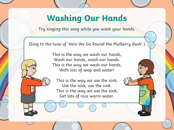### **Washing Our Hands**

Try singing this song while you wash your hands.

(Sing to the tune of 'Here We Go Round the Mulberry Bush'.)

This is the way we wash our hands, Wash our hands, wash our hands. This is the way we wash our hands, With lots of soap and water!

This is the way we use the sink, Use the sink, use the sink. This is the way we use the sink, Get lots of nice warm water.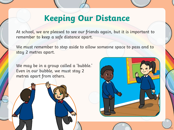### **Keeping Our Distance**

At school, we are pleased to see our friends again, but it is important to remember to keep a safe distance apart.

We must remember to step aside to allow someone space to pass and to stay 2 metres apart.

We may be in a group called a 'bubble.' Even in our bubble, we must stay 2 metres apart from others.

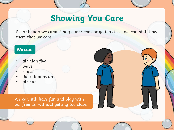### **Showing You Care**

Even though we cannot hug our friends or go too close, we can still show them that we care.

#### **We can:**

- air high five
- wave
- smile
- do a thumbs up
- air hug

We can still have fun and play with our friends, without getting too close.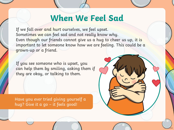#### **When We Feel Sad**

If we fall over and hurt ourselves, we feel upset. Sometimes we can feel sad and not really know why. Even though our friends cannot give us a hug to cheer us up, it is important to let someone know how we are feeling. This could be a grown-up or a friend.

If you see someone who is upset, you can help them by smiling, asking them if they are okay, or talking to them.

Have you ever tried giving yourself a hug? Give it a go – it feels good!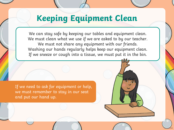## **Keeping Equipment Clean**

We can stay safe by keeping our tables and equipment clean. We must clean what we use if we are asked to by our teacher. We must not share any equipment with our friends. Washing our hands regularly helps keep our equipment clean. If we sneeze or cough into a tissue, we must put it in the bin.

If we need to ask for equipment or help, we must remember to stay in our seat and put our hand up.